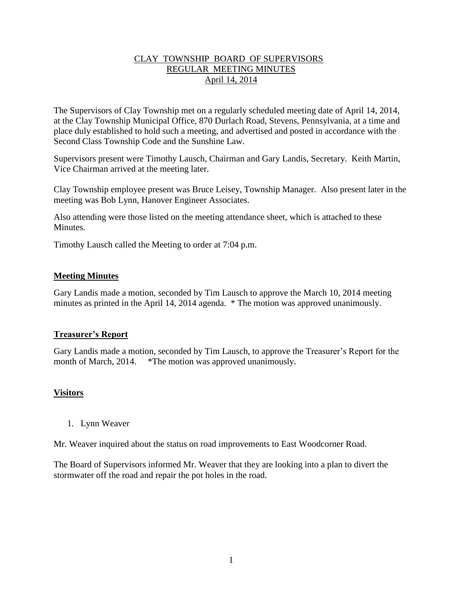## CLAY TOWNSHIP BOARD OF SUPERVISORS REGULAR MEETING MINUTES April 14, 2014

The Supervisors of Clay Township met on a regularly scheduled meeting date of April 14, 2014, at the Clay Township Municipal Office, 870 Durlach Road, Stevens, Pennsylvania, at a time and place duly established to hold such a meeting, and advertised and posted in accordance with the Second Class Township Code and the Sunshine Law.

Supervisors present were Timothy Lausch, Chairman and Gary Landis, Secretary. Keith Martin, Vice Chairman arrived at the meeting later.

Clay Township employee present was Bruce Leisey, Township Manager. Also present later in the meeting was Bob Lynn, Hanover Engineer Associates.

Also attending were those listed on the meeting attendance sheet, which is attached to these Minutes.

Timothy Lausch called the Meeting to order at 7:04 p.m.

### **Meeting Minutes**

Gary Landis made a motion, seconded by Tim Lausch to approve the March 10, 2014 meeting minutes as printed in the April 14, 2014 agenda. \* The motion was approved unanimously.

#### **Treasurer's Report**

Gary Landis made a motion, seconded by Tim Lausch, to approve the Treasurer's Report for the month of March, 2014. \*The motion was approved unanimously.

#### **Visitors**

1. Lynn Weaver

Mr. Weaver inquired about the status on road improvements to East Woodcorner Road.

The Board of Supervisors informed Mr. Weaver that they are looking into a plan to divert the stormwater off the road and repair the pot holes in the road.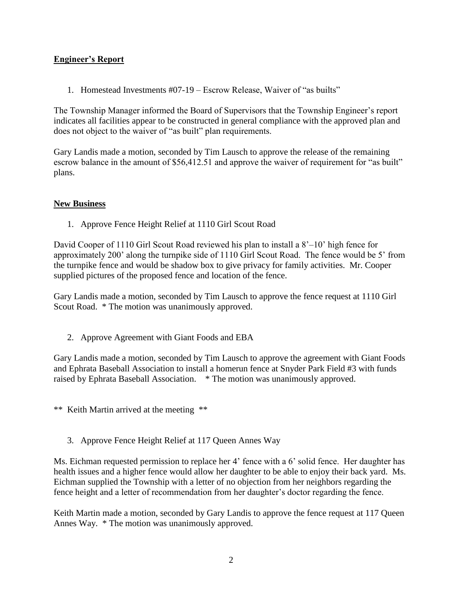# **Engineer's Report**

1. Homestead Investments #07-19 – Escrow Release, Waiver of "as builts"

The Township Manager informed the Board of Supervisors that the Township Engineer's report indicates all facilities appear to be constructed in general compliance with the approved plan and does not object to the waiver of "as built" plan requirements.

Gary Landis made a motion, seconded by Tim Lausch to approve the release of the remaining escrow balance in the amount of \$56,412.51 and approve the waiver of requirement for "as built" plans.

# **New Business**

1. Approve Fence Height Relief at 1110 Girl Scout Road

David Cooper of 1110 Girl Scout Road reviewed his plan to install a 8'–10' high fence for approximately 200' along the turnpike side of 1110 Girl Scout Road. The fence would be 5' from the turnpike fence and would be shadow box to give privacy for family activities. Mr. Cooper supplied pictures of the proposed fence and location of the fence.

Gary Landis made a motion, seconded by Tim Lausch to approve the fence request at 1110 Girl Scout Road. \* The motion was unanimously approved.

2. Approve Agreement with Giant Foods and EBA

Gary Landis made a motion, seconded by Tim Lausch to approve the agreement with Giant Foods and Ephrata Baseball Association to install a homerun fence at Snyder Park Field #3 with funds raised by Ephrata Baseball Association. \* The motion was unanimously approved.

\*\* Keith Martin arrived at the meeting \*\*

3. Approve Fence Height Relief at 117 Queen Annes Way

Ms. Eichman requested permission to replace her 4' fence with a 6' solid fence. Her daughter has health issues and a higher fence would allow her daughter to be able to enjoy their back yard. Ms. Eichman supplied the Township with a letter of no objection from her neighbors regarding the fence height and a letter of recommendation from her daughter's doctor regarding the fence.

Keith Martin made a motion, seconded by Gary Landis to approve the fence request at 117 Queen Annes Way. \* The motion was unanimously approved.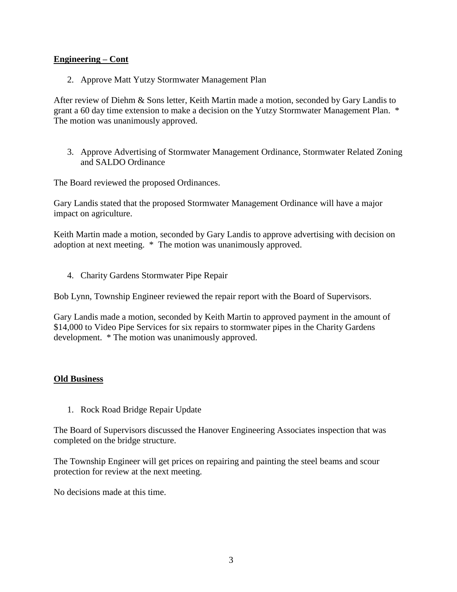## **Engineering – Cont**

2. Approve Matt Yutzy Stormwater Management Plan

After review of Diehm & Sons letter, Keith Martin made a motion, seconded by Gary Landis to grant a 60 day time extension to make a decision on the Yutzy Stormwater Management Plan. \* The motion was unanimously approved.

3. Approve Advertising of Stormwater Management Ordinance, Stormwater Related Zoning and SALDO Ordinance

The Board reviewed the proposed Ordinances.

Gary Landis stated that the proposed Stormwater Management Ordinance will have a major impact on agriculture.

Keith Martin made a motion, seconded by Gary Landis to approve advertising with decision on adoption at next meeting. \* The motion was unanimously approved.

4. Charity Gardens Stormwater Pipe Repair

Bob Lynn, Township Engineer reviewed the repair report with the Board of Supervisors.

Gary Landis made a motion, seconded by Keith Martin to approved payment in the amount of \$14,000 to Video Pipe Services for six repairs to stormwater pipes in the Charity Gardens development. \* The motion was unanimously approved.

#### **Old Business**

1. Rock Road Bridge Repair Update

The Board of Supervisors discussed the Hanover Engineering Associates inspection that was completed on the bridge structure.

The Township Engineer will get prices on repairing and painting the steel beams and scour protection for review at the next meeting.

No decisions made at this time.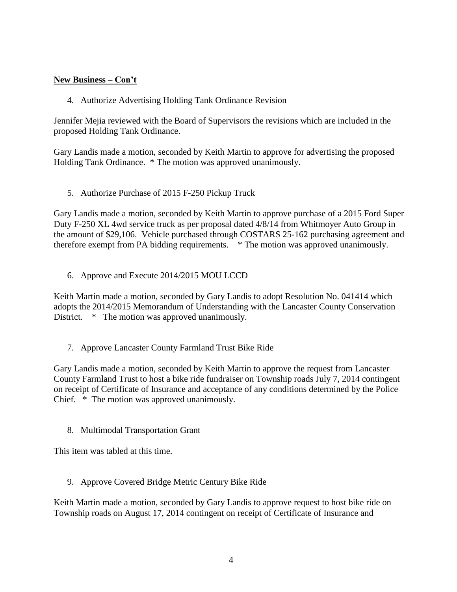# **New Business – Con't**

4. Authorize Advertising Holding Tank Ordinance Revision

Jennifer Mejia reviewed with the Board of Supervisors the revisions which are included in the proposed Holding Tank Ordinance.

Gary Landis made a motion, seconded by Keith Martin to approve for advertising the proposed Holding Tank Ordinance. \* The motion was approved unanimously.

5. Authorize Purchase of 2015 F-250 Pickup Truck

Gary Landis made a motion, seconded by Keith Martin to approve purchase of a 2015 Ford Super Duty F-250 XL 4wd service truck as per proposal dated 4/8/14 from Whitmoyer Auto Group in the amount of \$29,106. Vehicle purchased through COSTARS 25-162 purchasing agreement and therefore exempt from PA bidding requirements. \* The motion was approved unanimously.

6. Approve and Execute 2014/2015 MOU LCCD

Keith Martin made a motion, seconded by Gary Landis to adopt Resolution No. 041414 which adopts the 2014/2015 Memorandum of Understanding with the Lancaster County Conservation District.  $*$  The motion was approved unanimously.

7. Approve Lancaster County Farmland Trust Bike Ride

Gary Landis made a motion, seconded by Keith Martin to approve the request from Lancaster County Farmland Trust to host a bike ride fundraiser on Township roads July 7, 2014 contingent on receipt of Certificate of Insurance and acceptance of any conditions determined by the Police Chief. \* The motion was approved unanimously.

8. Multimodal Transportation Grant

This item was tabled at this time.

9. Approve Covered Bridge Metric Century Bike Ride

Keith Martin made a motion, seconded by Gary Landis to approve request to host bike ride on Township roads on August 17, 2014 contingent on receipt of Certificate of Insurance and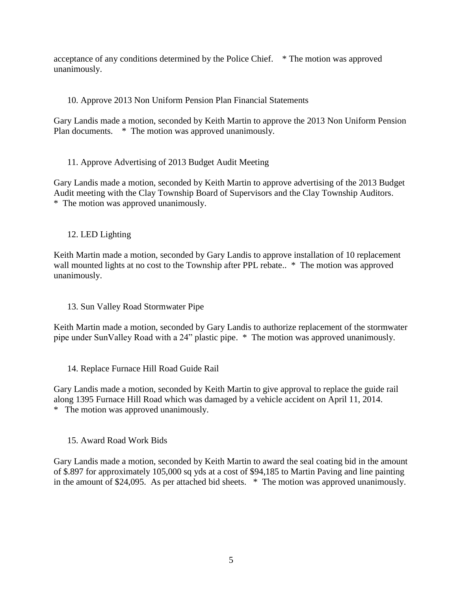acceptance of any conditions determined by the Police Chief. \* The motion was approved unanimously.

# 10. Approve 2013 Non Uniform Pension Plan Financial Statements

Gary Landis made a motion, seconded by Keith Martin to approve the 2013 Non Uniform Pension Plan documents. \* The motion was approved unanimously.

11. Approve Advertising of 2013 Budget Audit Meeting

Gary Landis made a motion, seconded by Keith Martin to approve advertising of the 2013 Budget Audit meeting with the Clay Township Board of Supervisors and the Clay Township Auditors. \* The motion was approved unanimously.

12. LED Lighting

Keith Martin made a motion, seconded by Gary Landis to approve installation of 10 replacement wall mounted lights at no cost to the Township after PPL rebate..  $*$  The motion was approved unanimously.

13. Sun Valley Road Stormwater Pipe

Keith Martin made a motion, seconded by Gary Landis to authorize replacement of the stormwater pipe under SunValley Road with a 24" plastic pipe. \* The motion was approved unanimously.

14. Replace Furnace Hill Road Guide Rail

Gary Landis made a motion, seconded by Keith Martin to give approval to replace the guide rail along 1395 Furnace Hill Road which was damaged by a vehicle accident on April 11, 2014. \* The motion was approved unanimously.

15. Award Road Work Bids

Gary Landis made a motion, seconded by Keith Martin to award the seal coating bid in the amount of \$.897 for approximately 105,000 sq yds at a cost of \$94,185 to Martin Paving and line painting in the amount of \$24,095. As per attached bid sheets. \* The motion was approved unanimously.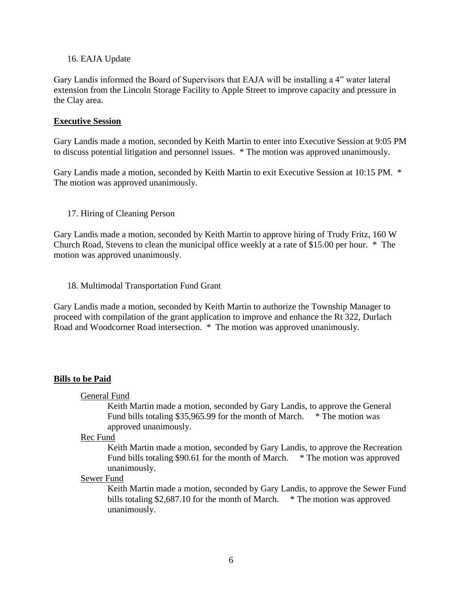#### 16. EAJA Update

Gary Landis informed the Board of Supervisors that EAJA will be installing a 4" water lateral extension from the Lincoln Storage Facility to Apple Street to improve capacity and pressure in the Clay area.

#### **Executive Session**

Gary Landis made a motion, seconded by Keith Martin to enter into Executive Session at 9:05 PM to discuss potential litigation and personnel issues. \* The motion was approved unanimously.

Gary Landis made a motion, seconded by Keith Martin to exit Executive Session at 10:15 PM. \* The motion was approved unanimously.

#### 17. Hiring of Cleaning Person

Gary Landis made a motion, seconded by Keith Martin to approve hiring of Trudy Fritz, 160 W Church Road, Stevens to clean the municipal office weekly at a rate of \$15.00 per hour. \* The motion was approved unanimously.

#### 18. Multimodal Transportation Fund Grant

Gary Landis made a motion, seconded by Keith Martin to authorize the Township Manager to proceed with compilation of the grant application to improve and enhance the Rt 322, Durlach Road and Woodcorner Road intersection. \* The motion was approved unanimously.

#### **Bills to be Paid**

General Fund

Keith Martin made a motion, seconded by Gary Landis, to approve the General Fund bills totaling \$35,965.99 for the month of March. \* The motion was approved unanimously.

#### Rec Fund

Keith Martin made a motion, seconded by Gary Landis, to approve the Recreation Fund bills totaling \$90.61 for the month of March. \* The motion was approved unanimously.

## Sewer Fund

Keith Martin made a motion, seconded by Gary Landis, to approve the Sewer Fund bills totaling \$2,687.10 for the month of March. \* The motion was approved unanimously.